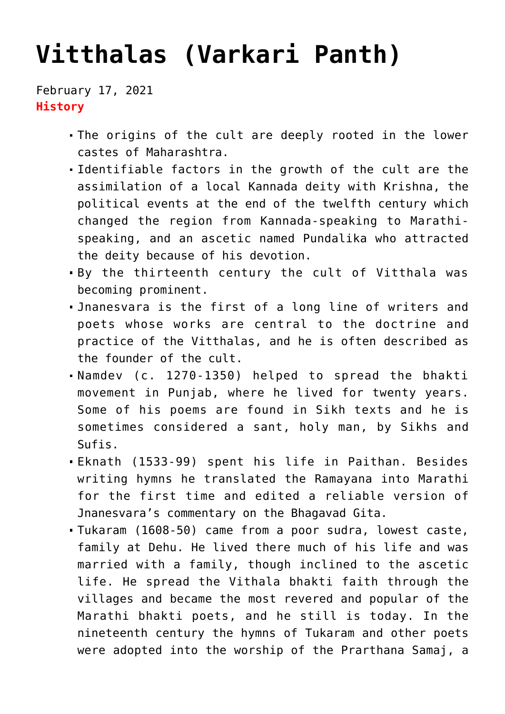# **[Vitthalas \(Varkari Panth\)](https://journalsofindia.com/vitthalas-varkari-panth/)**

February 17, 2021 **History**

- The origins of the cult are deeply rooted in the lower castes of Maharashtra.
- Identifiable factors in the growth of the cult are the assimilation of a local Kannada deity with Krishna, the political events at the end of the twelfth century which changed the region from Kannada-speaking to Marathispeaking, and an ascetic named Pundalika who attracted the deity because of his devotion.
- By the thirteenth century the cult of Vitthala was becoming prominent.
- Jnanesvara is the first of a long line of writers and poets whose works are central to the doctrine and practice of the Vitthalas, and he is often described as the founder of the cult.
- Namdev (c. 1270-1350) helped to spread the bhakti movement in Punjab, where he lived for twenty years. Some of his poems are found in Sikh texts and he is sometimes considered a sant, holy man, by Sikhs and Sufis.
- Eknath (1533-99) spent his life in Paithan. Besides writing hymns he translated the Ramayana into Marathi for the first time and edited a reliable version of Jnanesvara's commentary on the Bhagavad Gita.
- Tukaram (1608-50) came from a poor sudra, lowest caste, family at Dehu. He lived there much of his life and was married with a family, though inclined to the ascetic life. He spread the Vithala bhakti faith through the villages and became the most revered and popular of the Marathi bhakti poets, and he still is today. In the nineteenth century the hymns of Tukaram and other poets were adopted into the worship of the Prarthana Samaj, a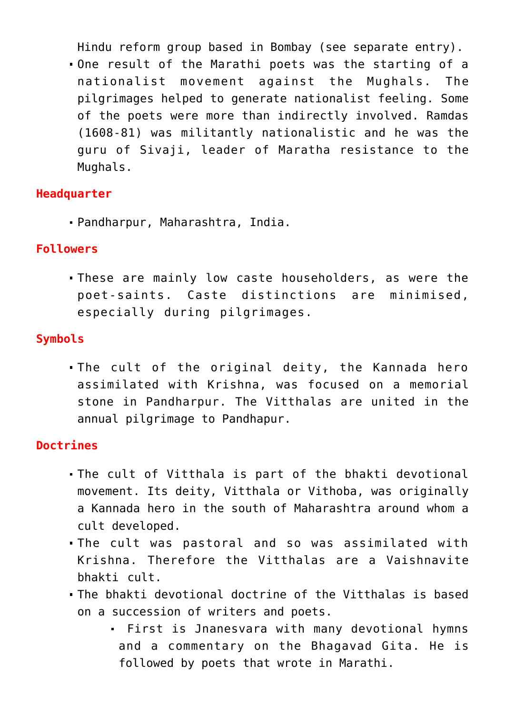Hindu reform group based in Bombay (see separate entry).

One result of the Marathi poets was the starting of a nationalist movement against the Mughals. The pilgrimages helped to generate nationalist feeling. Some of the poets were more than indirectly involved. Ramdas (1608-81) was militantly nationalistic and he was the guru of Sivaji, leader of Maratha resistance to the Mughals.

#### **Headquarter**

Pandharpur, Maharashtra, India.

#### **Followers**

These are mainly low caste householders, as were the poet-saints. Caste distinctions are minimised, especially during pilgrimages.

## **Symbols**

The cult of the original deity, the Kannada hero assimilated with Krishna, was focused on a memorial stone in Pandharpur. The Vitthalas are united in the annual pilgrimage to Pandhapur.

### **Doctrines**

- The cult of Vitthala is part of the bhakti devotional movement. Its deity, Vitthala or Vithoba, was originally a Kannada hero in the south of Maharashtra around whom a cult developed.
- The cult was pastoral and so was assimilated with Krishna. Therefore the Vitthalas are a Vaishnavite bhakti cult.
- The bhakti devotional doctrine of the Vitthalas is based on a succession of writers and poets.
	- First is Jnanesvara with many devotional hymns and a commentary on the Bhagavad Gita. He is followed by poets that wrote in Marathi.